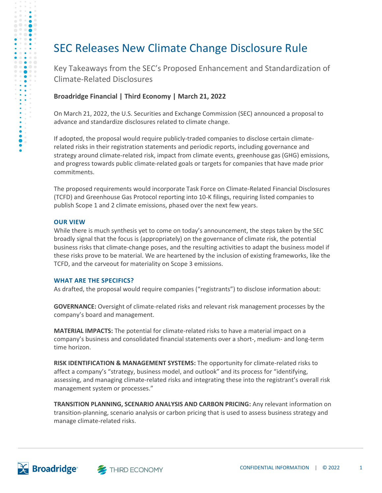## SEC Releases New Climate Change Disclosure Rule

Key Takeaways from the SEC's Proposed Enhancement and Standardization of Climate-Related Disclosures

#### **Broadridge Financial | Third Economy | March 21, 2022**

On March 21, 2022, the U.S. Securities and Exchange Commission (SEC) announced a proposal to advance and standardize disclosures related to climate change.

If adopted, the proposal would require publicly-traded companies to disclose certain climaterelated risks in their registration statements and periodic reports, including governance and strategy around climate-related risk, impact from climate events, greenhouse gas (GHG) emissions, and progress towards public climate-related goals or targets for companies that have made prior commitments.

The proposed requirements would incorporate Task Force on Climate-Related Financial Disclosures (TCFD) and Greenhouse Gas Protocol reporting into 10-K filings, requiring listed companies to publish Scope 1 and 2 climate emissions, phased over the next few years.

#### **OUR VIEW**

D o

 $\bullet$   $\bullet$  $\qquad \qquad \circ \quad \bullet$ 

 $\bullet$ 

> While there is much synthesis yet to come on today's announcement, the steps taken by the SEC broadly signal that the focus is (appropriately) on the governance of climate risk, the potential business risks that climate-change poses, and the resulting activities to adapt the business model if these risks prove to be material. We are heartened by the inclusion of existing frameworks, like the TCFD, and the carveout for materiality on Scope 3 emissions.

#### **WHAT ARE THE SPECIFICS?**

As drafted, the proposal would require companies ("registrants") to disclose information about:

**GOVERNANCE:** Oversight of climate-related risks and relevant risk management processes by the company's board and management.

**MATERIAL IMPACTS:** The potential for climate-related risks to have a material impact on a company's business and consolidated financial statements over a short-, medium- and long-term time horizon.

**RISK IDENTIFICATION & MANAGEMENT SYSTEMS:** The opportunity for climate-related risks to affect a company's "strategy, business model, and outlook" and its process for "identifying, assessing, and managing climate-related risks and integrating these into the registrant's overall risk management system or processes."

**TRANSITION PLANNING, SCENARIO ANALYSIS AND CARBON PRICING:** Any relevant information on transition-planning, scenario analysis or carbon pricing that is used to assess business strategy and manage climate-related risks.



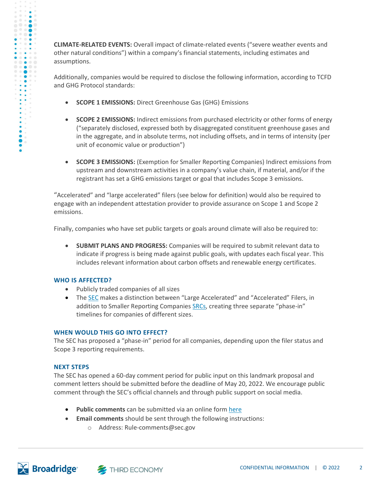**CLIMATE-RELATED EVENTS:** Overall impact of climate-related events ("severe weather events and other natural conditions") within a company's financial statements, including estimates and assumptions.

Additionally, companies would be required to disclose the following information, according to TCFD and GHG Protocol standards:

- **SCOPE 1 EMISSIONS:** Direct Greenhouse Gas (GHG) Emissions
- **SCOPE 2 EMISSIONS:** Indirect emissions from purchased electricity or other forms of energy ("separately disclosed, expressed both by disaggregated constituent greenhouse gases and in the aggregate, and in absolute terms, not including offsets, and in terms of intensity (per unit of economic value or production")
- **SCOPE 3 EMISSIONS:** (Exemption for Smaller Reporting Companies) Indirect emissions from upstream and downstream activities in a company's value chain, if material, and/or if the registrant has set a GHG emissions target or goal that includes Scope 3 emissions.

"Accelerated" and "large accelerated" filers (see below for definition) would also be required to engage with an independent attestation provider to provide assurance on Scope 1 and Scope 2 emissions.

Finally, companies who have set public targets or goals around climate will also be required to:

• **SUBMIT PLANS AND PROGRESS:** Companies will be required to submit relevant data to indicate if progress is being made against public goals, with updates each fiscal year. This includes relevant information about carbon offsets and renewable energy certificates.

#### **WHO IS AFFECTED?**

- Publicly traded companies of all sizes
- The **SEC** makes a distinction between "Large Accelerated" and "Accelerated" Filers, in addition to Smaller Reporting Companie[s SRCs](https://www.sec.gov/smallbusiness/goingpublic/SRC), creating three separate "phase-in" timelines for companies of different sizes.

#### **WHEN WOULD THIS GO INTO EFFECT?**

The SEC has proposed a "phase-in" period for all companies, depending upon the filer status and Scope 3 reporting requirements.

#### **NEXT STEPS**

The SEC has opened a 60-day comment period for public input on this landmark proposal and comment letters should be submitted before the deadline of May 20, 2022. We encourage public comment through the SEC's official channels and through public support on social media.

- **Public comments** can be submitted via an online for[m here](https://www.sec.gov/cgi-bin/ruling-comments)
- **Email comments** should be sent through the following instructions:
	- o Address: Rule-comments@sec.gov

D o

 $\bullet$   $\bullet$  $\begin{array}{c} \circ \\ \circ \end{array}$  $0.0001$  $\bullet$   $\bullet$  $\bullet\bullet\bullet\bullet$  $\begin{array}{c} \circ\bullet\circ\circ\end{array}$  $\ddot{\bullet}$  $\ddot{\bullet}$ 

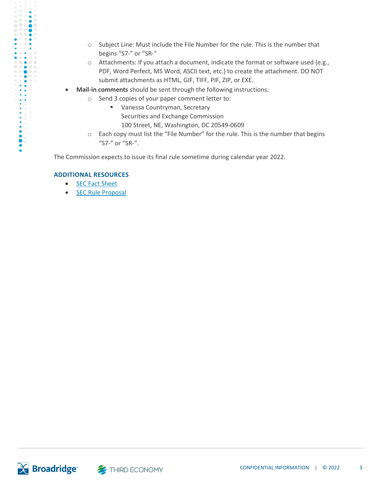- o Subject Line: Must include the File Number for the rule. This is the number that begins "S7-" or "SR-"
- $\circ$  Attachments: If you attach a document, indicate the format or software used (e.g., PDF, Word Perfect, MS Word, ASCII text, etc.) to create the attachment. DO NOT submit attachments as HTML, GIF, TIFF, PIF, ZIP, or EXE.
- **Mail-in comments** should be sent through the following instructions:
	- o Send 3 copies of your paper comment letter to:
		- Vanessa Countryman, Secretary Securities and Exchange Commission
			- 100 Street, NE, Washington, DC 20549-0609
		- o Each copy must list the "File Number" for the rule. This is the number that begins "S7-" or "SR-".

The Commission expects to issue its final rule sometime during calendar year 2022.

#### **ADDITIONAL RESOURCES**

 $\bullet \bullet \bullet$ 

- SEC Fact [Sheet](http://send.niri.org/link.cfm?r=7TiPSKMLmlWMaJH1j2SNDg~~&pe=xlGpJmzj2Iebuv-9LoEjhjAiH41r9fgXEUK9DZZhstOS4-dIGY-7-vzK9XXwmAd6lRy6EjuKe_c6JTAFhs2rjA~~&t=ymh0obEWR1fp92u6MboKzA~~)
- SEC Rule [Proposal](http://send.niri.org/link.cfm?r=7TiPSKMLmlWMaJH1j2SNDg~~&pe=qAp-hDaRzWuDh-lPVb2GklImdAgXcVTSpBB50w1kNNpB8AfLjRYJfAb-ApGSa3bY-JDHNqIk-I_CJqYOXobGVw~~&t=ymh0obEWR1fp92u6MboKzA~~)